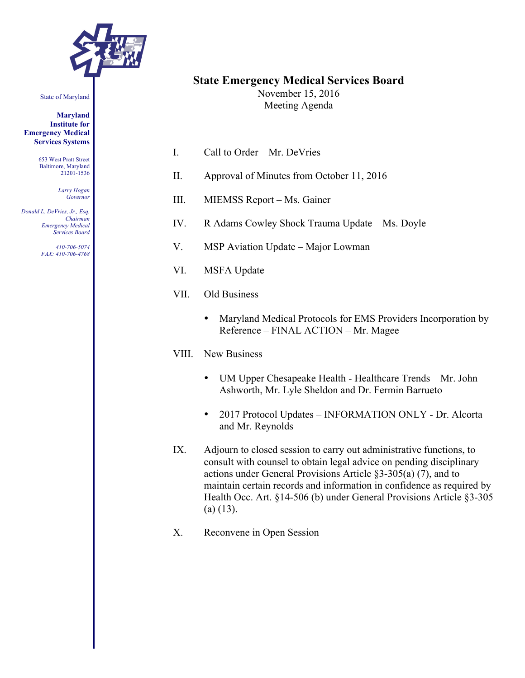

#### State of Maryland

**Maryland Institute for Emergency Medical Services Systems**

> 653 West Pratt Street Baltimore, Maryland 21201-1536

> > *Larry Hogan Governor*

*Donald L. DeVries, Jr., Esq. Chairman Emergency Medical Services Board*

> *410-706-5074 FAX: 410-706-4768*

# **State Emergency Medical Services Board**

November 15, 2016 Meeting Agenda

- I. Call to Order Mr. DeVries
- II. Approval of Minutes from October 11, 2016
- III. MIEMSS Report Ms. Gainer
- IV. R Adams Cowley Shock Trauma Update Ms. Doyle
- V. MSP Aviation Update Major Lowman
- VI. MSFA Update
- VII. Old Business
	- Maryland Medical Protocols for EMS Providers Incorporation by Reference – FINAL ACTION – Mr. Magee

#### VIII. New Business

- UM Upper Chesapeake Health Healthcare Trends Mr. John Ashworth, Mr. Lyle Sheldon and Dr. Fermin Barrueto
- 2017 Protocol Updates INFORMATION ONLY Dr. Alcorta and Mr. Reynolds
- IX. Adjourn to closed session to carry out administrative functions, to consult with counsel to obtain legal advice on pending disciplinary actions under General Provisions Article §3-305(a) (7), and to maintain certain records and information in confidence as required by Health Occ. Art. §14-506 (b) under General Provisions Article §3-305  $(a)$  (13).
- X. Reconvene in Open Session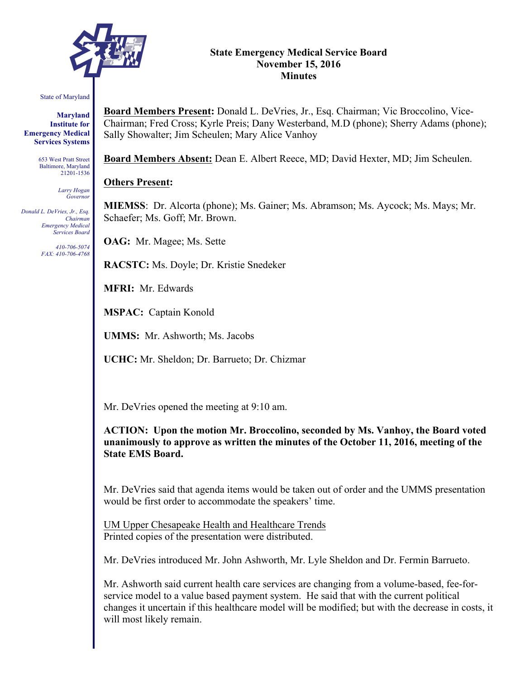

#### **State Emergency Medical Service Board November 15, 2016 Minutes**

#### State of Maryland

**Maryland Institute for Emergency Medical Services Systems**

> 653 West Pratt Street Baltimore, Maryland 21201-1536

> > *Larry Hogan Governor*

*Donald L. DeVries, Jr., Esq. Chairman Emergency Medical Services Board*

> *410-706-5074 FAX: 410-706-4768*

**Board Members Present:** Donald L. DeVries, Jr., Esq. Chairman; Vic Broccolino, Vice-Chairman; Fred Cross; Kyrle Preis; Dany Westerband, M.D (phone); Sherry Adams (phone); Sally Showalter; Jim Scheulen; Mary Alice Vanhoy

**Board Members Absent:** Dean E. Albert Reece, MD; David Hexter, MD; Jim Scheulen.

#### **Others Present:**

**MIEMSS**: Dr. Alcorta (phone); Ms. Gainer; Ms. Abramson; Ms. Aycock; Ms. Mays; Mr. Schaefer; Ms. Goff; Mr. Brown.

**OAG:** Mr. Magee; Ms. Sette

**RACSTC:** Ms. Doyle; Dr. Kristie Snedeker

**MFRI:** Mr. Edwards

**MSPAC:** Captain Konold

**UMMS:** Mr. Ashworth; Ms. Jacobs

**UCHC:** Mr. Sheldon; Dr. Barrueto; Dr. Chizmar

Mr. DeVries opened the meeting at 9:10 am.

**ACTION: Upon the motion Mr. Broccolino, seconded by Ms. Vanhoy, the Board voted unanimously to approve as written the minutes of the October 11, 2016, meeting of the State EMS Board.**

Mr. DeVries said that agenda items would be taken out of order and the UMMS presentation would be first order to accommodate the speakers' time.

UM Upper Chesapeake Health and Healthcare Trends Printed copies of the presentation were distributed.

Mr. DeVries introduced Mr. John Ashworth, Mr. Lyle Sheldon and Dr. Fermin Barrueto.

Mr. Ashworth said current health care services are changing from a volume-based, fee-forservice model to a value based payment system. He said that with the current political changes it uncertain if this healthcare model will be modified; but with the decrease in costs, it will most likely remain.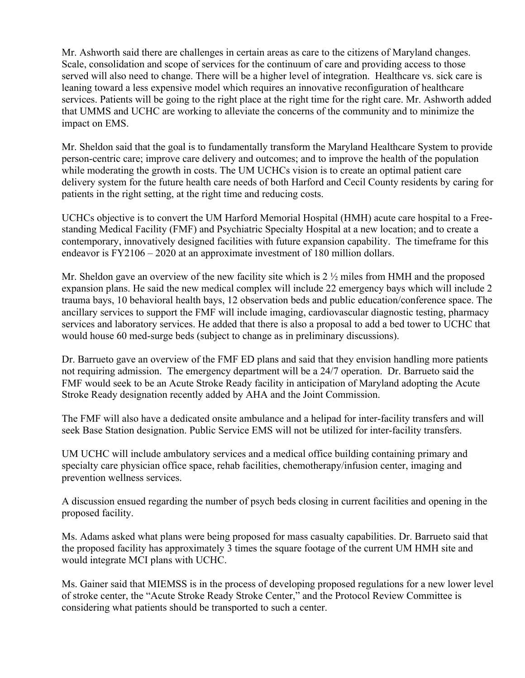Mr. Ashworth said there are challenges in certain areas as care to the citizens of Maryland changes. Scale, consolidation and scope of services for the continuum of care and providing access to those served will also need to change. There will be a higher level of integration. Healthcare vs. sick care is leaning toward a less expensive model which requires an innovative reconfiguration of healthcare services. Patients will be going to the right place at the right time for the right care. Mr. Ashworth added that UMMS and UCHC are working to alleviate the concerns of the community and to minimize the impact on EMS.

Mr. Sheldon said that the goal is to fundamentally transform the Maryland Healthcare System to provide person-centric care; improve care delivery and outcomes; and to improve the health of the population while moderating the growth in costs. The UM UCHCs vision is to create an optimal patient care delivery system for the future health care needs of both Harford and Cecil County residents by caring for patients in the right setting, at the right time and reducing costs.

UCHCs objective is to convert the UM Harford Memorial Hospital (HMH) acute care hospital to a Freestanding Medical Facility (FMF) and Psychiatric Specialty Hospital at a new location; and to create a contemporary, innovatively designed facilities with future expansion capability. The timeframe for this endeavor is FY2106 – 2020 at an approximate investment of 180 million dollars.

Mr. Sheldon gave an overview of the new facility site which is 2  $\frac{1}{2}$  miles from HMH and the proposed expansion plans. He said the new medical complex will include 22 emergency bays which will include 2 trauma bays, 10 behavioral health bays, 12 observation beds and public education/conference space. The ancillary services to support the FMF will include imaging, cardiovascular diagnostic testing, pharmacy services and laboratory services. He added that there is also a proposal to add a bed tower to UCHC that would house 60 med-surge beds (subject to change as in preliminary discussions).

Dr. Barrueto gave an overview of the FMF ED plans and said that they envision handling more patients not requiring admission. The emergency department will be a 24/7 operation. Dr. Barrueto said the FMF would seek to be an Acute Stroke Ready facility in anticipation of Maryland adopting the Acute Stroke Ready designation recently added by AHA and the Joint Commission.

The FMF will also have a dedicated onsite ambulance and a helipad for inter-facility transfers and will seek Base Station designation. Public Service EMS will not be utilized for inter-facility transfers.

UM UCHC will include ambulatory services and a medical office building containing primary and specialty care physician office space, rehab facilities, chemotherapy/infusion center, imaging and prevention wellness services.

A discussion ensued regarding the number of psych beds closing in current facilities and opening in the proposed facility.

Ms. Adams asked what plans were being proposed for mass casualty capabilities. Dr. Barrueto said that the proposed facility has approximately 3 times the square footage of the current UM HMH site and would integrate MCI plans with UCHC.

Ms. Gainer said that MIEMSS is in the process of developing proposed regulations for a new lower level of stroke center, the "Acute Stroke Ready Stroke Center," and the Protocol Review Committee is considering what patients should be transported to such a center.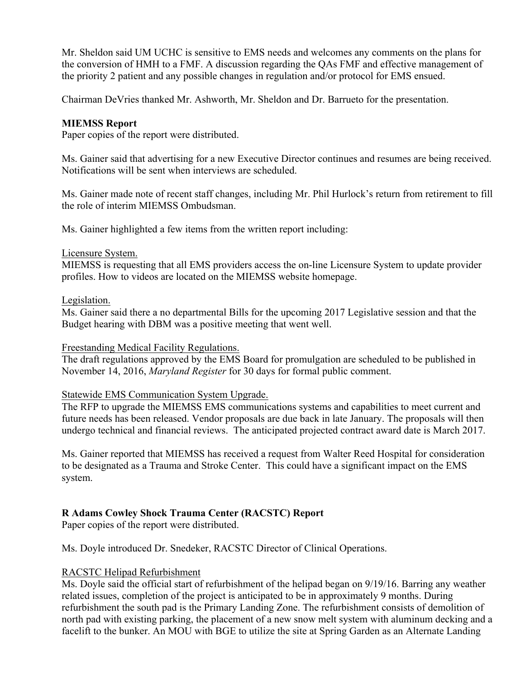Mr. Sheldon said UM UCHC is sensitive to EMS needs and welcomes any comments on the plans for the conversion of HMH to a FMF. A discussion regarding the QAs FMF and effective management of the priority 2 patient and any possible changes in regulation and/or protocol for EMS ensued.

Chairman DeVries thanked Mr. Ashworth, Mr. Sheldon and Dr. Barrueto for the presentation.

#### **MIEMSS Report**

Paper copies of the report were distributed.

Ms. Gainer said that advertising for a new Executive Director continues and resumes are being received. Notifications will be sent when interviews are scheduled.

Ms. Gainer made note of recent staff changes, including Mr. Phil Hurlock's return from retirement to fill the role of interim MIEMSS Ombudsman.

Ms. Gainer highlighted a few items from the written report including:

#### Licensure System.

MIEMSS is requesting that all EMS providers access the on-line Licensure System to update provider profiles. How to videos are located on the MIEMSS website homepage.

#### Legislation.

Ms. Gainer said there a no departmental Bills for the upcoming 2017 Legislative session and that the Budget hearing with DBM was a positive meeting that went well.

#### Freestanding Medical Facility Regulations.

The draft regulations approved by the EMS Board for promulgation are scheduled to be published in November 14, 2016, *Maryland Register* for 30 days for formal public comment.

#### Statewide EMS Communication System Upgrade.

The RFP to upgrade the MIEMSS EMS communications systems and capabilities to meet current and future needs has been released. Vendor proposals are due back in late January. The proposals will then undergo technical and financial reviews. The anticipated projected contract award date is March 2017.

Ms. Gainer reported that MIEMSS has received a request from Walter Reed Hospital for consideration to be designated as a Trauma and Stroke Center. This could have a significant impact on the EMS system.

## **R Adams Cowley Shock Trauma Center (RACSTC) Report**

Paper copies of the report were distributed.

Ms. Doyle introduced Dr. Snedeker, RACSTC Director of Clinical Operations.

#### RACSTC Helipad Refurbishment

Ms. Doyle said the official start of refurbishment of the helipad began on 9/19/16. Barring any weather related issues, completion of the project is anticipated to be in approximately 9 months. During refurbishment the south pad is the Primary Landing Zone. The refurbishment consists of demolition of north pad with existing parking, the placement of a new snow melt system with aluminum decking and a facelift to the bunker. An MOU with BGE to utilize the site at Spring Garden as an Alternate Landing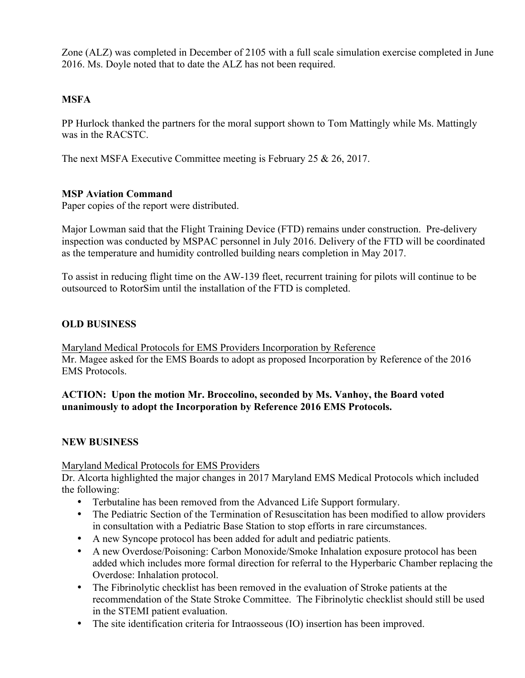Zone (ALZ) was completed in December of 2105 with a full scale simulation exercise completed in June 2016. Ms. Doyle noted that to date the ALZ has not been required.

# **MSFA**

PP Hurlock thanked the partners for the moral support shown to Tom Mattingly while Ms. Mattingly was in the RACSTC.

The next MSFA Executive Committee meeting is February 25 & 26, 2017.

## **MSP Aviation Command**

Paper copies of the report were distributed.

Major Lowman said that the Flight Training Device (FTD) remains under construction. Pre-delivery inspection was conducted by MSPAC personnel in July 2016. Delivery of the FTD will be coordinated as the temperature and humidity controlled building nears completion in May 2017.

To assist in reducing flight time on the AW-139 fleet, recurrent training for pilots will continue to be outsourced to RotorSim until the installation of the FTD is completed.

## **OLD BUSINESS**

Maryland Medical Protocols for EMS Providers Incorporation by Reference Mr. Magee asked for the EMS Boards to adopt as proposed Incorporation by Reference of the 2016 EMS Protocols.

## **ACTION: Upon the motion Mr. Broccolino, seconded by Ms. Vanhoy, the Board voted unanimously to adopt the Incorporation by Reference 2016 EMS Protocols.**

## **NEW BUSINESS**

Maryland Medical Protocols for EMS Providers

Dr. Alcorta highlighted the major changes in 2017 Maryland EMS Medical Protocols which included the following:

- Terbutaline has been removed from the Advanced Life Support formulary.
- The Pediatric Section of the Termination of Resuscitation has been modified to allow providers in consultation with a Pediatric Base Station to stop efforts in rare circumstances.
- A new Syncope protocol has been added for adult and pediatric patients.
- A new Overdose/Poisoning: Carbon Monoxide/Smoke Inhalation exposure protocol has been added which includes more formal direction for referral to the Hyperbaric Chamber replacing the Overdose: Inhalation protocol.
- The Fibrinolytic checklist has been removed in the evaluation of Stroke patients at the recommendation of the State Stroke Committee. The Fibrinolytic checklist should still be used in the STEMI patient evaluation.
- The site identification criteria for Intraosseous (IO) insertion has been improved.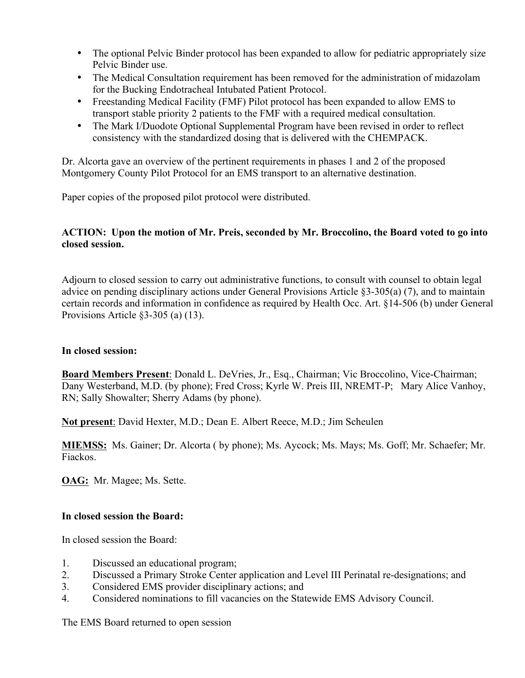- The optional Pelvic Binder protocol has been expanded to allow for pediatric appropriately size Pelvic Binder use.
- The Medical Consultation requirement has been removed for the administration of midazolam for the Bucking Endotracheal Intubated Patient Protocol.
- Freestanding Medical Facility (FMF) Pilot protocol has been expanded to allow EMS to transport stable priority 2 patients to the FMF with a required medical consultation.
- The Mark I/Duodote Optional Supplemental Program have been revised in order to reflect consistency with the standardized dosing that is delivered with the CHEMPACK.

Dr. Alcorta gave an overview of the pertinent requirements in phases 1 and 2 of the proposed Montgomery County Pilot Protocol for an EMS transport to an alternative destination.

Paper copies of the proposed pilot protocol were distributed.

## **ACTION: Upon the motion of Mr. Preis, seconded by Mr. Broccolino, the Board voted to go into closed session.**

Adjourn to closed session to carry out administrative functions, to consult with counsel to obtain legal advice on pending disciplinary actions under General Provisions Article §3-305(a) (7), and to maintain certain records and information in confidence as required by Health Occ. Art. §14-506 (b) under General Provisions Article §3-305 (a) (13).

## **In closed session:**

**Board Members Present**: Donald L. DeVries, Jr., Esq., Chairman; Vic Broccolino, Vice-Chairman; Dany Westerband, M.D. (by phone); Fred Cross; Kyrle W. Preis III, NREMT-P; Mary Alice Vanhoy, RN; Sally Showalter; Sherry Adams (by phone).

**Not present**: David Hexter, M.D.; Dean E. Albert Reece, M.D.; Jim Scheulen

**MIEMSS:** Ms. Gainer; Dr. Alcorta ( by phone); Ms. Aycock; Ms. Mays; Ms. Goff; Mr. Schaefer; Mr. Fiackos.

**OAG:** Mr. Magee; Ms. Sette.

## **In closed session the Board:**

In closed session the Board:

- 1. Discussed an educational program;
- 2. Discussed a Primary Stroke Center application and Level III Perinatal re-designations; and
- 3. Considered EMS provider disciplinary actions; and
- 4. Considered nominations to fill vacancies on the Statewide EMS Advisory Council.

The EMS Board returned to open session